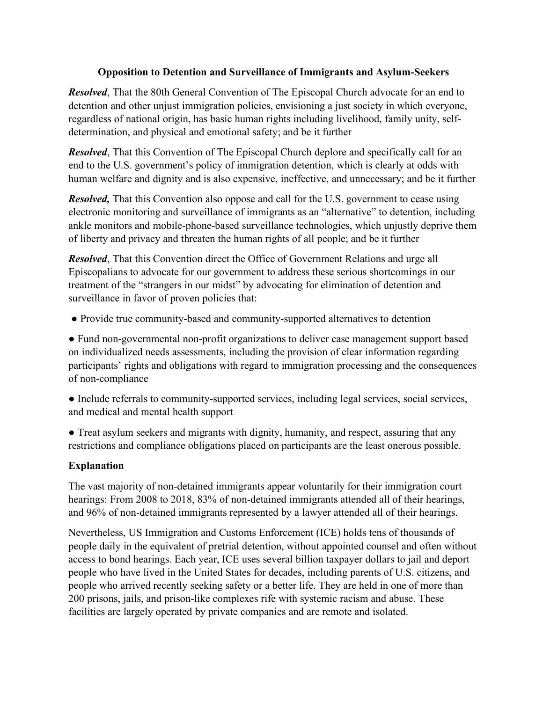## **Opposition to Detention and Surveillance of Immigrants and Asylum-Seekers**

*Resolved*, That the 80th General Convention of The Episcopal Church advocate for an end to detention and other unjust immigration policies, envisioning a just society in which everyone, regardless of national origin, has basic human rights including livelihood, family unity, selfdetermination, and physical and emotional safety; and be it further

*Resolved*, That this Convention of The Episcopal Church deplore and specifically call for an end to the U.S. government's policy of immigration detention, which is clearly at odds with human welfare and dignity and is also expensive, ineffective, and unnecessary; and be it further

*Resolved*, That this Convention also oppose and call for the U.S. government to cease using electronic monitoring and surveillance of immigrants as an "alternative" to detention, including ankle monitors and mobile-phone-based surveillance technologies, which unjustly deprive them of liberty and privacy and threaten the human rights of all people; and be it further

*Resolved*, That this Convention direct the Office of Government Relations and urge all Episcopalians to advocate for our government to address these serious shortcomings in our treatment of the "strangers in our midst" by advocating for elimination of detention and surveillance in favor of proven policies that:

● Provide true community-based and community-supported alternatives to detention

● Fund non-governmental non-profit organizations to deliver case management support based on individualized needs assessments, including the provision of clear information regarding participants' rights and obligations with regard to immigration processing and the consequences of non-compliance

● Include referrals to community-supported services, including legal services, social services, and medical and mental health support

• Treat asylum seekers and migrants with dignity, humanity, and respect, assuring that any restrictions and compliance obligations placed on participants are the least onerous possible.

## **Explanation**

The vast majority of non-detained immigrants appear voluntarily for their immigration court hearings: From 2008 to 2018, 83% of non-detained immigrants attended all of their hearings, and 96% of non-detained immigrants represented by a lawyer attended all of their hearings.

Nevertheless, US Immigration and Customs Enforcement (ICE) holds tens of thousands of people daily in the equivalent of pretrial detention, without appointed counsel and often without access to bond hearings. Each year, ICE uses several billion taxpayer dollars to jail and deport people who have lived in the United States for decades, including parents of U.S. citizens, and people who arrived recently seeking safety or a better life. They are held in one of more than 200 prisons, jails, and prison-like complexes rife with systemic racism and abuse. These facilities are largely operated by private companies and are remote and isolated.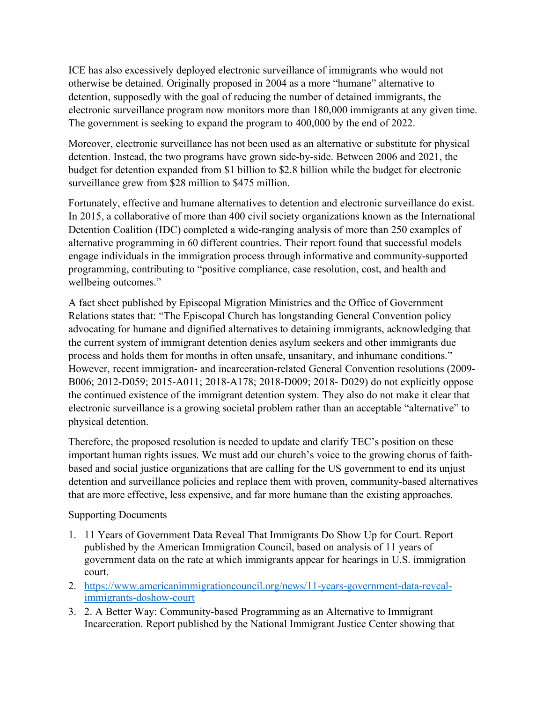ICE has also excessively deployed electronic surveillance of immigrants who would not otherwise be detained. Originally proposed in 2004 as a more "humane" alternative to detention, supposedly with the goal of reducing the number of detained immigrants, the electronic surveillance program now monitors more than 180,000 immigrants at any given time. The government is seeking to expand the program to 400,000 by the end of 2022.

Moreover, electronic surveillance has not been used as an alternative or substitute for physical detention. Instead, the two programs have grown side-by-side. Between 2006 and 2021, the budget for detention expanded from \$1 billion to \$2.8 billion while the budget for electronic surveillance grew from \$28 million to \$475 million.

Fortunately, effective and humane alternatives to detention and electronic surveillance do exist. In 2015, a collaborative of more than 400 civil society organizations known as the International Detention Coalition (IDC) completed a wide-ranging analysis of more than 250 examples of alternative programming in 60 different countries. Their report found that successful models engage individuals in the immigration process through informative and community-supported programming, contributing to "positive compliance, case resolution, cost, and health and wellbeing outcomes."

A fact sheet published by Episcopal Migration Ministries and the Office of Government Relations states that: "The Episcopal Church has longstanding General Convention policy advocating for humane and dignified alternatives to detaining immigrants, acknowledging that the current system of immigrant detention denies asylum seekers and other immigrants due process and holds them for months in often unsafe, unsanitary, and inhumane conditions." However, recent immigration- and incarceration-related General Convention resolutions (2009- B006; 2012-D059; 2015-A011; 2018-A178; 2018-D009; 2018- D029) do not explicitly oppose the continued existence of the immigrant detention system. They also do not make it clear that electronic surveillance is a growing societal problem rather than an acceptable "alternative" to physical detention.

Therefore, the proposed resolution is needed to update and clarify TEC's position on these important human rights issues. We must add our church's voice to the growing chorus of faithbased and social justice organizations that are calling for the US government to end its unjust detention and surveillance policies and replace them with proven, community-based alternatives that are more effective, less expensive, and far more humane than the existing approaches.

Supporting Documents

- 1. 11 Years of Government Data Reveal That Immigrants Do Show Up for Court. Report published by the American Immigration Council, based on analysis of 11 years of government data on the rate at which immigrants appear for hearings in U.S. immigration court.
- 2. https://www.americanimmigrationcouncil.org/news/11-years-government-data-revealimmigrants-doshow-court
- 3. 2. A Better Way: Community-based Programming as an Alternative to Immigrant Incarceration. Report published by the National Immigrant Justice Center showing that